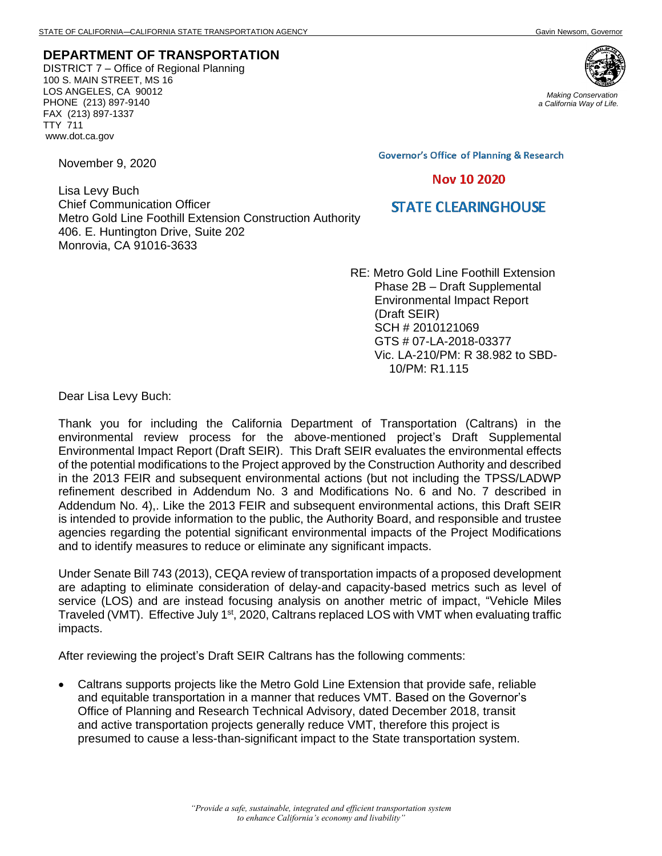Metro Gold Line Foothill Extension Construction Authority

## **DEPARTMENT OF TRANSPORTATION**

DISTRICT 7 – Office of Regional Planning 100 S. MAIN STREET, MS 16 LOS ANGELES, CA 90012 PHONE (213) 897-9140 FAX (213) 897-1337 TTY 711 www.dot.ca.gov

November 9, 2020

Chief Communication Officer

Monrovia, CA 91016-3633

406. E. Huntington Drive, Suite 202

Lisa Levy Buch

**Governor's Office of Planning & Research** 

**Nov 10 2020** 

## **STATE CLEARINGHOUSE**

RE: Metro Gold Line Foothill Extension Phase 2B – Draft Supplemental Environmental Impact Report (Draft SEIR) SCH # 2010121069 GTS # 07-LA-2018-03377 Vic. LA-210/PM: R 38.982 to SBD-10/PM: R1.115

Dear Lisa Levy Buch:

Thank you for including the California Department of Transportation (Caltrans) in the environmental review process for the above-mentioned project's Draft Supplemental Environmental Impact Report (Draft SEIR). This Draft SEIR evaluates the environmental effects of the potential modifications to the Project approved by the Construction Authority and described in the 2013 FEIR and subsequent environmental actions (but not including the TPSS/LADWP refinement described in Addendum No. 3 and Modifications No. 6 and No. 7 described in Addendum No. 4),. Like the 2013 FEIR and subsequent environmental actions, this Draft SEIR is intended to provide information to the public, the Authority Board, and responsible and trustee agencies regarding the potential significant environmental impacts of the Project Modifications and to identify measures to reduce or eliminate any significant impacts.

Under Senate Bill 743 (2013), CEQA review of transportation impacts of a proposed development are adapting to eliminate consideration of delay-and capacity-based metrics such as level of service (LOS) and are instead focusing analysis on another metric of impact, "Vehicle Miles Traveled (VMT). Effective July 1<sup>st</sup>, 2020, Caltrans replaced LOS with VMT when evaluating traffic impacts.

After reviewing the project's Draft SEIR Caltrans has the following comments:

• Caltrans supports projects like the Metro Gold Line Extension that provide safe, reliable and equitable transportation in a manner that reduces VMT. Based on the Governor's Office of Planning and Research Technical Advisory, dated December 2018, transit and active transportation projects generally reduce VMT, therefore this project is presumed to cause a less-than-significant impact to the State transportation system.



*Making Conservation a California Way of Life.*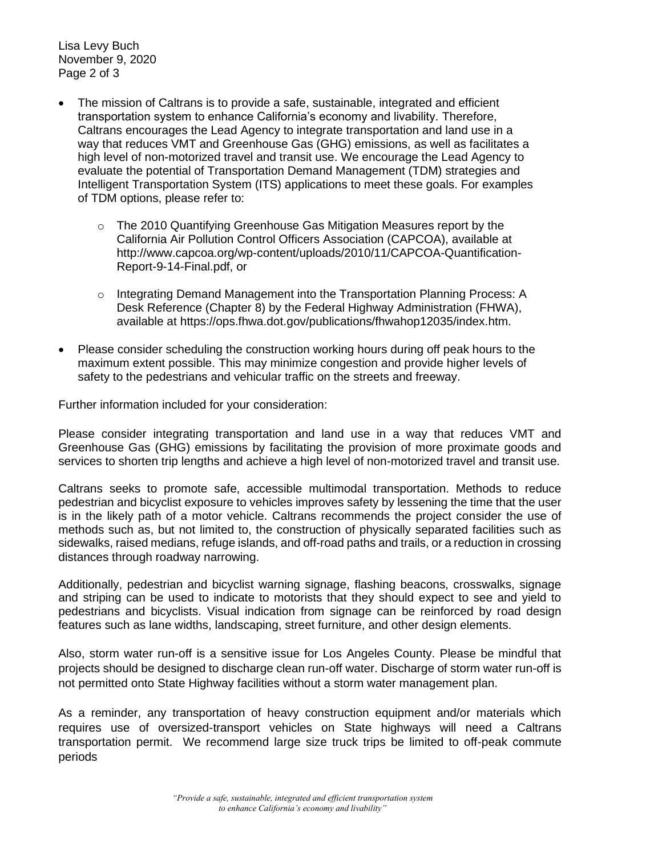Lisa Levy Buch November 9, 2020 Page 2 of 3

- The mission of Caltrans is to provide a safe, sustainable, integrated and efficient transportation system to enhance California's economy and livability. Therefore, Caltrans encourages the Lead Agency to integrate transportation and land use in a way that reduces VMT and Greenhouse Gas (GHG) emissions, as well as facilitates a high level of non-motorized travel and transit use. We encourage the Lead Agency to evaluate the potential of Transportation Demand Management (TDM) strategies and Intelligent Transportation System (ITS) applications to meet these goals. For examples of TDM options, please refer to:
	- $\circ$  The 2010 Quantifying Greenhouse Gas Mitigation Measures report by the California Air Pollution Control Officers Association (CAPCOA), available at http://www.capcoa.org/wp-content/uploads/2010/11/CAPCOA-Quantification-Report-9-14-Final.pdf, or
	- o Integrating Demand Management into the Transportation Planning Process: A Desk Reference (Chapter 8) by the Federal Highway Administration (FHWA), available at https://ops.fhwa.dot.gov/publications/fhwahop12035/index.htm.
- Please consider scheduling the construction working hours during off peak hours to the maximum extent possible. This may minimize congestion and provide higher levels of safety to the pedestrians and vehicular traffic on the streets and freeway.

Further information included for your consideration:

Please consider integrating transportation and land use in a way that reduces VMT and Greenhouse Gas (GHG) emissions by facilitating the provision of more proximate goods and services to shorten trip lengths and achieve a high level of non-motorized travel and transit use.

Caltrans seeks to promote safe, accessible multimodal transportation. Methods to reduce pedestrian and bicyclist exposure to vehicles improves safety by lessening the time that the user is in the likely path of a motor vehicle. Caltrans recommends the project consider the use of methods such as, but not limited to, the construction of physically separated facilities such as sidewalks, raised medians, refuge islands, and off-road paths and trails, or a reduction in crossing distances through roadway narrowing.

Additionally, pedestrian and bicyclist warning signage, flashing beacons, crosswalks, signage and striping can be used to indicate to motorists that they should expect to see and yield to pedestrians and bicyclists. Visual indication from signage can be reinforced by road design features such as lane widths, landscaping, street furniture, and other design elements.

Also, storm water run-off is a sensitive issue for Los Angeles County. Please be mindful that projects should be designed to discharge clean run-off water. Discharge of storm water run-off is not permitted onto State Highway facilities without a storm water management plan.

As a reminder, any transportation of heavy construction equipment and/or materials which requires use of oversized-transport vehicles on State highways will need a Caltrans transportation permit. We recommend large size truck trips be limited to off-peak commute periods